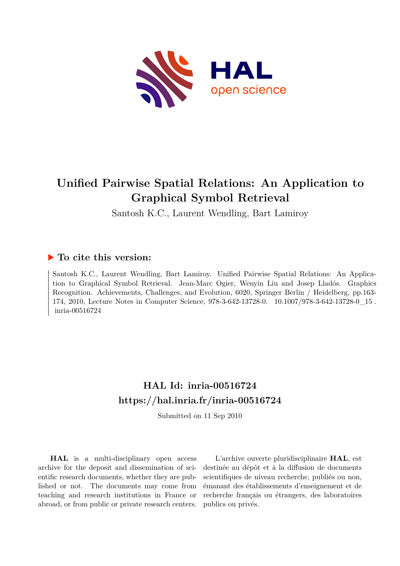

# **Unified Pairwise Spatial Relations: An Application to Graphical Symbol Retrieval**

Santosh K.C., Laurent Wendling, Bart Lamiroy

# **To cite this version:**

Santosh K.C., Laurent Wendling, Bart Lamiroy. Unified Pairwise Spatial Relations: An Application to Graphical Symbol Retrieval. Jean-Marc Ogier, Wenyin Liu and Josep Lladós. Graphics Recognition. Achievements, Challenges, and Evolution, 6020, Springer Berlin / Heidelberg, pp.163- 174, 2010, Lecture Notes in Computer Science, 978-3-642-13728-0.  $10.1007/978-3-642-13728-0$  15. inria-00516724

# **HAL Id: inria-00516724 <https://hal.inria.fr/inria-00516724>**

Submitted on 11 Sep 2010

**HAL** is a multi-disciplinary open access archive for the deposit and dissemination of scientific research documents, whether they are published or not. The documents may come from teaching and research institutions in France or abroad, or from public or private research centers.

L'archive ouverte pluridisciplinaire **HAL**, est destinée au dépôt et à la diffusion de documents scientifiques de niveau recherche, publiés ou non, émanant des établissements d'enseignement et de recherche français ou étrangers, des laboratoires publics ou privés.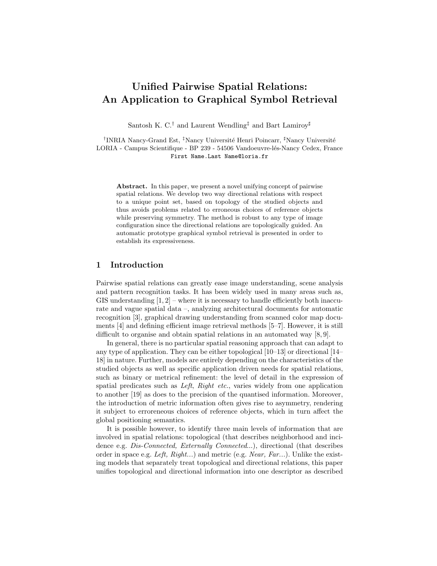# Unified Pairwise Spatial Relations: An Application to Graphical Symbol Retrieval

Santosh K. C.<sup>†</sup> and Laurent Wendling<sup>‡</sup> and Bart Lamiroy<sup>#</sup>

<sup>†</sup>INRIA Nancy-Grand Est, <sup>‡</sup>Nancy Université Henri Poincarr, <sup>‡</sup>Nancy Université LORIA - Campus Scientifique - BP 239 - 54506 Vandoeuvre-lés-Nancy Cedex, France First Name.Last Name@loria.fr

Abstract. In this paper, we present a novel unifying concept of pairwise spatial relations. We develop two way directional relations with respect to a unique point set, based on topology of the studied objects and thus avoids problems related to erroneous choices of reference objects while preserving symmetry. The method is robust to any type of image configuration since the directional relations are topologically guided. An automatic prototype graphical symbol retrieval is presented in order to establish its expressiveness.

#### 1 Introduction

Pairwise spatial relations can greatly ease image understanding, scene analysis and pattern recognition tasks. It has been widely used in many areas such as, GIS understanding  $[1, 2]$  – where it is necessary to handle efficiently both inaccurate and vague spatial data –, analyzing architectural documents for automatic recognition [3], graphical drawing understanding from scanned color map documents [4] and defining efficient image retrieval methods [5–7]. However, it is still difficult to organise and obtain spatial relations in an automated way [8, 9].

In general, there is no particular spatial reasoning approach that can adapt to any type of application. They can be either topological [10–13] or directional [14– 18] in nature. Further, models are entirely depending on the characteristics of the studied objects as well as specific application driven needs for spatial relations, such as binary or metrical refinement: the level of detail in the expression of spatial predicates such as Left, Right etc., varies widely from one application to another [19] as does to the precision of the quantised information. Moreover, the introduction of metric information often gives rise to asymmetry, rendering it subject to erroreneous choices of reference objects, which in turn affect the global positioning semantics.

It is possible however, to identify three main levels of information that are involved in spatial relations: topological (that describes neighborhood and incidence e.g. *Dis-Connected, Externally Connected...*), directional (that describes order in space e.g. Left,  $Right...$ ) and metric (e.g. Near,  $Far...$ ). Unlike the existing models that separately treat topological and directional relations, this paper unifies topological and directional information into one descriptor as described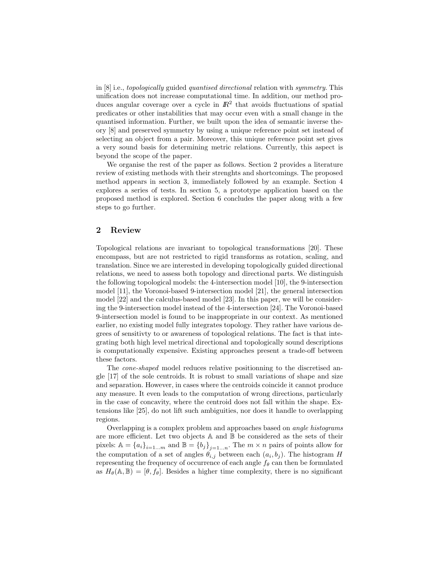in [8] i.e., topologically guided quantised directional relation with symmetry. This unification does not increase computational time. In addition, our method produces angular coverage over a cycle in  $\mathbb{R}^2$  that avoids fluctuations of spatial predicates or other instabilities that may occur even with a small change in the quantised information. Further, we built upon the idea of semantic inverse theory [8] and preserved symmetry by using a unique reference point set instead of selecting an object from a pair. Moreover, this unique reference point set gives a very sound basis for determining metric relations. Currently, this aspect is beyond the scope of the paper.

We organise the rest of the paper as follows. Section 2 provides a literature review of existing methods with their strenghts and shortcomings. The proposed method appears in section 3, immediately followed by an example. Section 4 explores a series of tests. In section 5, a prototype application based on the proposed method is explored. Section 6 concludes the paper along with a few steps to go further.

#### 2 Review

Topological relations are invariant to topological transformations [20]. These encompass, but are not restricted to rigid transforms as rotation, scaling, and translation. Since we are interested in developing topologically guided directional relations, we need to assess both topology and directional parts. We distinguish the following topological models: the 4-intersection model [10], the 9-intersection model [11], the Voronoi-based 9-intersection model [21], the general intersection model [22] and the calculus-based model [23]. In this paper, we will be considering the 9-intersection model instead of the 4-intersection [24]. The Voronoi-based 9-intersection model is found to be inappropriate in our context. As mentioned earlier, no existing model fully integrates topology. They rather have various degrees of sensitivty to or awareness of topological relations. The fact is that integrating both high level metrical directional and topologically sound descriptions is computationally expensive. Existing approaches present a trade-off between these factors.

The cone-shaped model reduces relative positionning to the discretised angle [17] of the sole centroids. It is robust to small variations of shape and size and separation. However, in cases where the centroids coincide it cannot produce any measure. It even leads to the computation of wrong directions, particularly in the case of concavity, where the centroid does not fall within the shape. Extensions like [25], do not lift such ambiguities, nor does it handle to overlapping regions.

Overlapping is a complex problem and approaches based on angle histograms are more efficient. Let two objects A and B be considered as the sets of their pixels:  $\mathbb{A} = \{a_i\}_{i=1...m}$  and  $\mathbb{B} = \{b_j\}_{j=1...n}$ . The  $m \times n$  pairs of points allow for the computation of a set of angles  $\theta_{i,j}$  between each  $(a_i, b_j)$ . The histogram H representing the frequency of occurrence of each angle  $f_{\theta}$  can then be formulated as  $H_{\theta}(\mathbb{A}, \mathbb{B}) = [\theta, f_{\theta}]$ . Besides a higher time complexity, there is no significant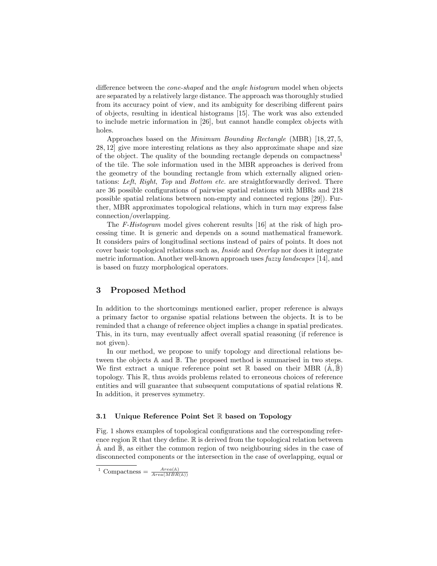difference between the *cone-shaped* and the *angle histogram* model when objects are separated by a relatively large distance. The approach was thoroughly studied from its accuracy point of view, and its ambiguity for describing different pairs of objects, resulting in identical histograms [15]. The work was also extended to include metric information in [26], but cannot handle complex objects with holes.

Approaches based on the *Minimum Bounding Rectangle* (MBR) [18, 27, 5, 28, 12] give more interesting relations as they also approximate shape and size of the object. The quality of the bounding rectangle depends on compactness<sup>1</sup> of the tile. The sole information used in the MBR approaches is derived from the geometry of the bounding rectangle from which externally aligned orientations: Left, Right, Top and Bottom etc. are straightforwardly derived. There are 36 possible configurations of pairwise spatial relations with MBRs and 218 possible spatial relations between non-empty and connected regions [29]). Further, MBR approximates topological relations, which in turn may express false connection/overlapping.

The F-Histogram model gives coherent results [16] at the risk of high processing time. It is generic and depends on a sound mathematical framework. It considers pairs of longitudinal sections instead of pairs of points. It does not cover basic topological relations such as, Inside and Overlap nor does it integrate metric information. Another well-known approach uses fuzzy landscapes [14], and is based on fuzzy morphological operators.

# 3 Proposed Method

In addition to the shortcomings mentioned earlier, proper reference is always a primary factor to organise spatial relations between the objects. It is to be reminded that a change of reference object implies a change in spatial predicates. This, in its turn, may eventually affect overall spatial reasoning (if reference is not given).

In our method, we propose to unify topology and directional relations between the objects A and B. The proposed method is summarised in two steps. We first extract a unique reference point set  $\mathbb R$  based on their MBR  $(\mathbb A,\mathbb B)$ topology. This R, thus avoids problems related to erroneous choices of reference entities and will guarantee that subsequent computations of spatial relations ℜ. In addition, it preserves symmetry.

#### 3.1 Unique Reference Point Set R based on Topology

Fig. 1 shows examples of topological configurations and the corresponding reference region  $\mathbb R$  that they define.  $\mathbb R$  is derived from the topological relation between A and  $\mathbb{B}$ , as either the common region of two neighbouring sides in the case of disconnected components or the intersection in the case of overlapping, equal or

<sup>&</sup>lt;sup>1</sup> Compactness =  $\frac{Area(A)}{Area(MBR(A))}$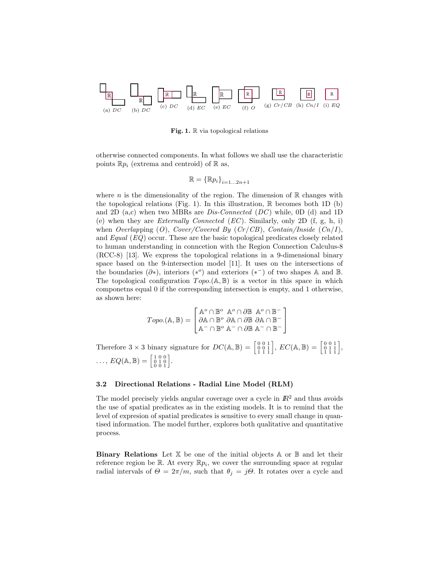

Fig. 1.  $\mathbb R$  via topological relations

otherwise connected components. In what follows we shall use the characteristic points  $\mathbb{R}p_i$  (extrema and centroid) of  $\mathbb{R}$  as,

$$
\mathbb{R} = {\mathbb{R}p_i}_{i=1...2n+1}
$$

where n is the dimensionality of the region. The dimension of  $\mathbb R$  changes with the topological relations (Fig. 1). In this illustration,  $\mathbb R$  becomes both 1D (b) and 2D  $(a, c)$  when two MBRs are *Dis-Connected (DC)* while, 0D (d) and 1D (e) when they are *Externally Connected (EC)*. Similarly, only 2D  $(f, g, h, i)$ when Overlapping (O), Cover/Covered By  $(Cr/CB)$ , Contain/Inside  $(Cn/I)$ , and  $Equal (EQ)$  occur. These are the basic topological predicates closely related to human understanding in conncetion with the Region Connection Calculus-8 (RCC-8) [13]. We express the topological relations in a 9-dimensional binary space based on the 9-intersection model [11]. It uses on the intersections of the boundaries  $(\partial^*)$ , interiors  $(*^{\circ})$  and exteriors  $(*^-)$  of two shapes A and B. The topological configuration  $Topo.(\mathbb{A}, \mathbb{B})$  is a vector in this space in which componetns equal 0 if the corresponding intersection is empty, and 1 otherwise, as shown here:

$$
Topo.(\mathbb{A}, \mathbb{B}) = \begin{bmatrix} \mathbb{A}^o \cap \mathbb{B}^o & \mathbb{A}^o \cap \partial \mathbb{B} & \mathbb{A}^o \cap \mathbb{B}^- \\ \partial \mathbb{A} \cap \mathbb{B}^o & \partial \mathbb{A} \cap \partial \mathbb{B} & \partial \mathbb{A} \cap \mathbb{B}^- \\ \mathbb{A}^- \cap \mathbb{B}^o & \mathbb{A}^- \cap \partial \mathbb{B} & \mathbb{A}^- \cap \mathbb{B}^- \end{bmatrix}
$$

Therefore  $3 \times 3$  binary signature for  $DC(\mathbb{A}, \mathbb{B}) = \begin{bmatrix} 0 & 0 & 1 \\ 0 & 0 & 1 \\ 1 & 1 & 1 \end{bmatrix}$ ,  $EC(\mathbb{A}, \mathbb{B}) = \begin{bmatrix} 0 & 0 & 1 \\ 0 & 1 & 1 \\ 1 & 1 & 1 \end{bmatrix}$ ,  $\ldots$ ,  $EQ(\mathbb{A}, \mathbb{B}) = \begin{bmatrix} 1 & 0 & 0 \\ 0 & 1 & 0 \\ 0 & 0 & 1 \end{bmatrix}$ .

#### 3.2 Directional Relations - Radial Line Model (RLM)

The model precisely yields angular coverage over a cycle in  $\mathbb{R}^2$  and thus avoids the use of spatial predicates as in the existing models. It is to remind that the level of expresion of spatial predicates is sensitive to every small change in quantised information. The model further, explores both qualitative and quantitative process.

**Binary Relations** Let  $X$  be one of the initial objects  $A$  or  $B$  and let their reference region be  $\mathbb R$ . At every  $\mathbb R p_i$ , we cover the surrounding space at regular radial intervals of  $\Theta = 2\pi/m$ , such that  $\theta_j = j\Theta$ . It rotates over a cycle and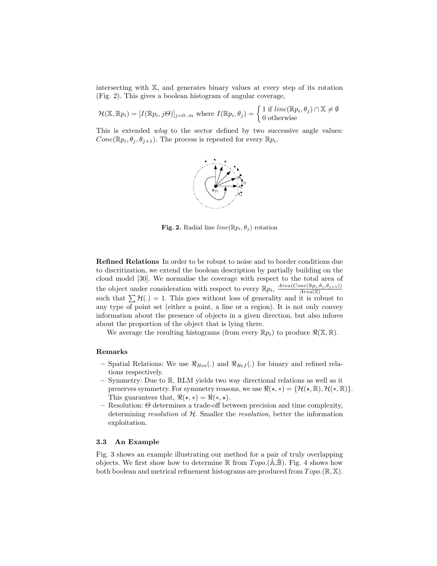intersecting with X, and generates binary values at every step of its rotation (Fig. 2). This gives a boolean histogram of angular coverage,

$$
\mathcal{H}(\mathbb{X}, \mathbb{R} p_i) = [I(\mathbb{R} p_i, j\Theta)]_{j=0..m} \text{ where } I(\mathbb{R} p_i, \theta_j) = \begin{cases} 1 \text{ if } line(\mathbb{R} p_i, \theta_j) \cap \mathbb{X} \neq \emptyset \\ 0 \text{ otherwise} \end{cases}
$$

This is extended *wlog* to the sector defined by two successive angle values:  $Cone(\mathbb{R}p_i, \theta_j, \theta_{j+1})$ . The process is repeated for every  $\mathbb{R}p_i$ .



Fig. 2. Radial line  $line(\mathbb{R}p_i, \theta_j)$  rotation

Refined Relations In order to be robust to noise and to border conditions due to discritization, we extend the boolean description by partially building on the cloud model [30]. We normalise the coverage with respect to the total area of the object under consideration with respect to every  $\mathbb{R}p_i$ ,  $\frac{Area(Cone(\mathbb{R}p_i,\theta_j,\theta_{j+1}))}{Area(\mathbb{X})}$  $\overline{Area(\mathbb{X})}$ such that  $\sum \mathcal{H}(\cdot) = 1$ . This goes without loss of generality and it is robust to any type of point set (either a point, a line or a region). It is not only convey information about the presence of objects in a given direction, but also infores about the proportion of the object that is lying there.

We average the resulting histograms (from every  $\mathbb{R}p_i$ ) to produce  $\Re(\mathbb{X}, \mathbb{R})$ .

#### Remarks

- Spatial Relations: We use  $\Re_{Bin}(.)$  and  $\Re_{Ref}(.)$  for binary and refined relations respectively.
- Symmetry: Due to R, RLM yields two way directional relations as well as it preserves symmetry. For symmetry reasons, we use  $\Re(\star, *) = \{ \mathcal{H}(\star, \mathbb{R}), \mathcal{H}(\star, \mathbb{R}) \}.$ This guarantees that,  $\Re(\star, \star) = \Re(\star, \star)$ .
- $-$  Resolution:  $\Theta$  determines a trade-off between precision and time complexity, determining resolution of H. Smaller the resolution, better the information exploitation.

#### 3.3 An Example

Fig. 3 shows an example illustrating our method for a pair of truly overlapping objects. We first show how to determine  $\mathbb R$  from  $Topo.(\mathbb{A}, \mathbb{B})$ . Fig. 4 shows how both boolean and metrical refinement histograms are produced from  $Topo.(\mathbb{R}, \mathbb{X})$ .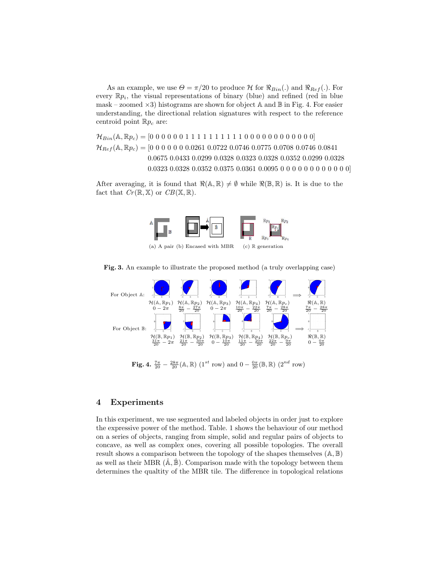As an example, we use  $\Theta = \pi/20$  to produce H for  $\Re_{Bin}(.)$  and  $\Re_{Ref}(.)$ . For every  $\mathbb{R} p_i$ , the visual representations of binary (blue) and refined (red in blue mask – zoomed  $\times 3$ ) histograms are shown for object A and B in Fig. 4. For easier understanding, the directional relation signatures with respect to the reference centroid point  $\mathbb{R}p_c$  are:

 $\mathcal{H}_{Bin}(\mathbb{A}, \mathbb{R}p_c) = [0\ 0\ 0\ 0\ 0\ 1\ 1\ 1\ 1\ 1\ 1\ 1\ 1\ 1\ 0\ 0\ 0\ 0\ 0\ 0\ 0\ 0\ 0\ 0]$  $\mathcal{H}_{Ref}(\mathbb{A}, \mathbb{R}p_c) = [0 \ 0 \ 0 \ 0 \ 0 \ 0 \ 0.0261 \ 0.0722 \ 0.0746 \ 0.0775 \ 0.0708 \ 0.0746 \ 0.0841]$ 0.0675 0.0433 0.0299 0.0328 0.0323 0.0328 0.0352 0.0299 0.0328 0.0323 0.0328 0.0352 0.0375 0.0361 0.0095 0 0 0 0 0 0 0 0 0 0 0 0]

After averaging, it is found that  $\Re(\mathbb{A}, \mathbb{R}) \neq \emptyset$  while  $\Re(\mathbb{B}, \mathbb{R})$  is. It is due to the fact that  $Cr(\mathbb{R}, \mathbb{X})$  or  $CB(\mathbb{X}, \mathbb{R})$ .



Fig. 3. An example to illustrate the proposed method (a truly overlapping case)



**Fig. 4.**  $\frac{7\pi}{20} - \frac{28\pi}{20}$ (A, R) (1<sup>st</sup> row) and  $0 - \frac{0\pi}{20}$ (B, R) (2<sup>nd</sup> row)

# 4 Experiments

In this experiment, we use segmented and labeled objects in order just to explore the expressive power of the method. Table. 1 shows the behaviour of our method on a series of objects, ranging from simple, solid and regular pairs of objects to concave, as well as complex ones, covering all possible topologies. The overall result shows a comparison between the topology of the shapes themselves  $(A, B)$ as well as their MBR  $(A, B)$ . Comparison made with the topology between them determines the qualtity of the MBR tile. The difference in topological relations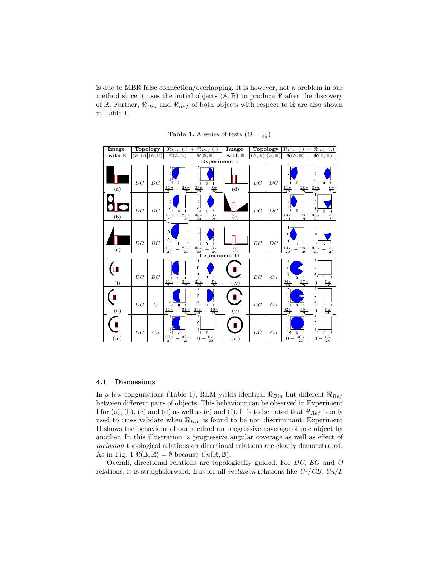is due to MBR false connection/overlapping. It is however, not a problem in our method since it uses the initial objects  $(A, B)$  to produce  $\Re$  after the discovery of R. Further,  $\Re_{Bin}$  and  $\Re_{Ref}$  of both objects with respect to R are also shown in Table 1.



Table 1. A series of tests  $(\Theta = \frac{\pi}{20})$ 

#### 4.1 Discussions

In a few congurations (Table 1), RLM yields identical  $\Re_{Bin}$  but different  $\Re_{Ref}$ between different pairs of objects. This behaviour can be observed in Experiment I for (a), (b), (c) and (d) as well as (e) and (f). It is to be noted that  $\Re_{Ref}$  is only used to cross validate when  $\Re_{Bin}$  is found to be non discriminant. Experiment II shows the behaviour of our method on progressive coverage of one object by another. In this illustration, a progressive angular coverage as well as effect of inclusion topological relations on directional relations are clearly demonstrated. As in Fig. 4  $\Re(\mathbb{B}, \mathbb{R}) = \emptyset$  because  $Cn(\mathbb{R}, \mathbb{B})$ .

Overall, directional relations are topologically guided. For DC, EC and O relations, it is straightforward. But for all *inclusion* relations like  $Cr/CB$ ,  $Cn/I$ ,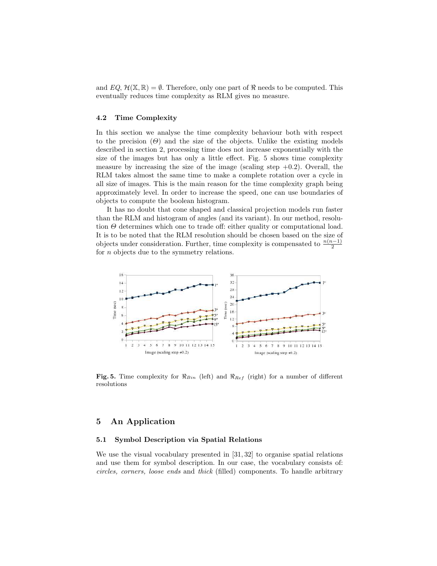and  $EQ, \mathcal{H}(\mathbb{X}, \mathbb{R}) = \emptyset$ . Therefore, only one part of  $\Re$  needs to be computed. This eventually reduces time complexity as RLM gives no measure.

## 4.2 Time Complexity

In this section we analyse the time complexity behaviour both with respect to the precision  $(\Theta)$  and the size of the objects. Unlike the existing models described in section 2, processing time does not increase exponentially with the size of the images but has only a little effect. Fig. 5 shows time complexity measure by increasing the size of the image (scaling step  $+0.2$ ). Overall, the RLM takes almost the same time to make a complete rotation over a cycle in all size of images. This is the main reason for the time complexity graph being approximately level. In order to increase the speed, one can use boundaries of objects to compute the boolean histogram.

It has no doubt that cone shaped and classical projection models run faster than the RLM and histogram of angles (and its variant). In our method, resolution  $\Theta$  determines which one to trade off: either quality or computational load. It is to be noted that the RLM resolution should be chosen based on the size of objects under consideration. Further, time complexity is compensated to  $\frac{n(n-1)}{2}$ for *n* objects due to the symmetry relations.



Fig. 5. Time complexity for  $\Re_{Bin}$  (left) and  $\Re_{Ref}$  (right) for a number of different resolutions

# 5 An Application

#### 5.1 Symbol Description via Spatial Relations

We use the visual vocabulary presented in [31, 32] to organise spatial relations and use them for symbol description. In our case, the vocabulary consists of: circles, corners, loose ends and thick (filled) components. To handle arbitrary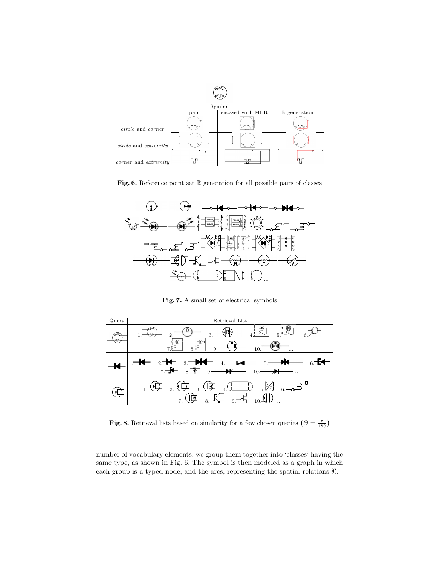

Fig. 6. Reference point set  $\mathbb R$  generation for all possible pairs of classes



Fig. 7. A small set of electrical symbols



Fig. 8. Retrieval lists based on similarity for a few chosen queries  $(\theta = \frac{\pi}{180})$ 

number of vocabulary elements, we group them together into 'classes' having the same type, as shown in Fig. 6. The symbol is then modeled as a graph in which each group is a typed node, and the arcs, representing the spatial relations ℜ.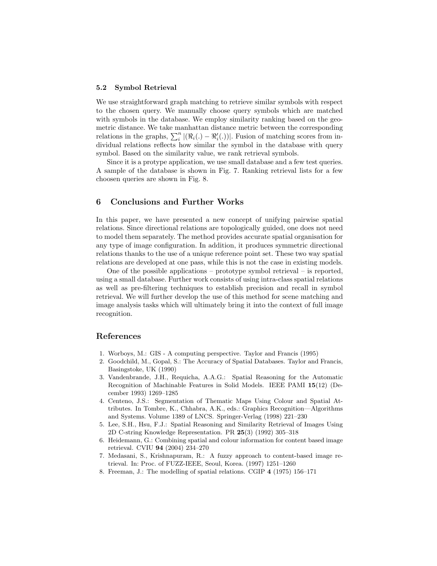#### 5.2 Symbol Retrieval

We use straightforward graph matching to retrieve similar symbols with respect to the chosen query. We manually choose query symbols which are matched with symbols in the database. We employ similarity ranking based on the geometric distance. We take manhattan distance metric between the corresponding relations in the graphs,  $\sum_{i}^{n} |(\Re_i(.) - \Re'_i(.))|$ . Fusion of matching scores from individual relations reflects how similar the symbol in the database with query symbol. Based on the similarity value, we rank retrieval symbols.

Since it is a protype application, we use small database and a few test queries. A sample of the database is shown in Fig. 7. Ranking retrieval lists for a few choosen queries are shown in Fig. 8.

## 6 Conclusions and Further Works

In this paper, we have presented a new concept of unifying pairwise spatial relations. Since directional relations are topologically guided, one does not need to model them separately. The method provides accurate spatial organisation for any type of image configuration. In addition, it produces symmetric directional relations thanks to the use of a unique reference point set. These two way spatial relations are developed at one pass, while this is not the case in existing models.

One of the possible applications – prototype symbol retrieval – is reported, using a small database. Further work consists of using intra-class spatial relations as well as pre-filtering techniques to establish precision and recall in symbol retrieval. We will further develop the use of this method for scene matching and image analysis tasks which will ultimately bring it into the context of full image recognition.

### References

- 1. Worboys, M.: GIS A computing perspective. Taylor and Francis (1995)
- 2. Goodchild, M., Gopal, S.: The Accuracy of Spatial Databases. Taylor and Francis, Basingstoke, UK (1990)
- 3. Vandenbrande, J.H., Requicha, A.A.G.: Spatial Reasoning for the Automatic Recognition of Machinable Features in Solid Models. IEEE PAMI 15(12) (December 1993) 1269–1285
- 4. Centeno, J.S.: Segmentation of Thematic Maps Using Colour and Spatial Attributes. In Tombre, K., Chhabra, A.K., eds.: Graphics Recognition—Algorithms and Systems. Volume 1389 of LNCS. Springer-Verlag (1998) 221–230
- 5. Lee, S.H., Hsu, F.J.: Spatial Reasoning and Similarity Retrieval of Images Using 2D C-string Knowledge Representation. PR 25(3) (1992) 305–318
- 6. Heidemann, G.: Combining spatial and colour information for content based image retrieval. CVIU 94 (2004) 234–270
- 7. Medasani, S., Krishnapuram, R.: A fuzzy approach to content-based image retrieval. In: Proc. of FUZZ-IEEE, Seoul, Korea. (1997) 1251–1260
- 8. Freeman, J.: The modelling of spatial relations. CGIP 4 (1975) 156–171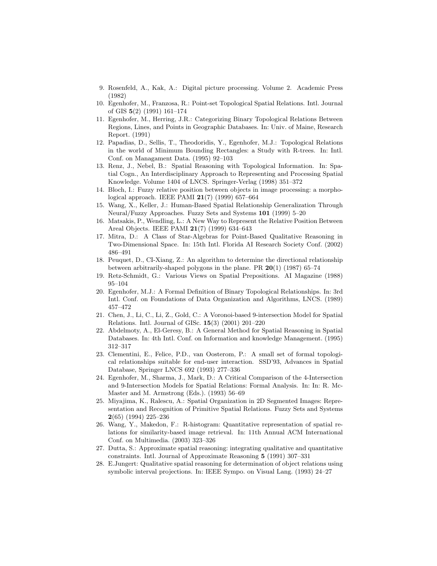- 9. Rosenfeld, A., Kak, A.: Digital picture processing. Volume 2. Academic Press (1982)
- 10. Egenhofer, M., Franzosa, R.: Point-set Topological Spatial Relations. Intl. Journal of GIS 5(2) (1991) 161–174
- 11. Egenhofer, M., Herring, J.R.: Categorizing Binary Topological Relations Between Regions, Lines, and Points in Geographic Databases. In: Univ. of Maine, Research Report. (1991)
- 12. Papadias, D., Sellis, T., Theodoridis, Y., Egenhofer, M.J.: Topological Relations in the world of Minimum Bounding Rectangles: a Study with R-trees. In: Intl. Conf. on Managament Data. (1995) 92–103
- 13. Renz, J., Nebel, B.: Spatial Reasoning with Topological Information. In: Spatial Cogn., An Interdisciplinary Approach to Representing and Processing Spatial Knowledge. Volume 1404 of LNCS. Springer-Verlag (1998) 351–372
- 14. Bloch, I.: Fuzzy relative position between objects in image processing: a morphological approach. IEEE PAMI 21(7) (1999) 657–664
- 15. Wang, X., Keller, J.: Human-Based Spatial Relationship Generalization Through Neural/Fuzzy Approaches. Fuzzy Sets and Systems 101 (1999) 5–20
- 16. Matsakis, P., Wendling, L.: A New Way to Represent the Relative Position Between Areal Objects. IEEE PAMI 21(7) (1999) 634–643
- 17. Mitra, D.: A Class of Star-Algebras for Point-Based Qualitative Reasoning in Two-Dimensional Space. In: 15th Intl. Florida AI Research Society Conf. (2002) 486–491
- 18. Peuquet, D., CI-Xiang, Z.: An algorithm to determine the directional relationship between arbitrarily-shaped polygons in the plane. PR  $20(1)$  (1987) 65–74
- 19. Retz-Schmidt, G.: Various Views on Spatial Prepositions. AI Magazine (1988) 95–104
- 20. Egenhofer, M.J.: A Formal Definition of Binary Topological Relationships. In: 3rd Intl. Conf. on Foundations of Data Organization and Algorithms, LNCS. (1989) 457–472
- 21. Chen, J., Li, C., Li, Z., Gold, C.: A Voronoi-based 9-intersection Model for Spatial Relations. Intl. Journal of GISc. 15(3) (2001) 201–220
- 22. Abdelmoty, A., El-Geresy, B.: A General Method for Spatial Reasoning in Spatial Databases. In: 4th Intl. Conf. on Information and knowledge Management. (1995) 312–317
- 23. Clementini, E., Felice, P.D., van Oosterom, P.: A small set of formal topological relationships suitable for end-user interaction. SSD'93, Advances in Spatial Database, Springer LNCS 692 (1993) 277–336
- 24. Egenhofer, M., Sharma, J., Mark, D.: A Critical Comparison of the 4-Intersection and 9-Intersection Models for Spatial Relations: Formal Analysis. In: In: R. Mc-Master and M. Armstrong (Eds.). (1993) 56–69
- 25. Miyajima, K., Ralescu, A.: Spatial Organization in 2D Segmented Images: Representation and Recognition of Primitive Spatial Relations. Fuzzy Sets and Systems 2(65) (1994) 225–236
- 26. Wang, Y., Makedon, F.: R-histogram: Quantitative representation of spatial relations for similarity-based image retrieval. In: 11th Annual ACM International Conf. on Multimedia. (2003) 323–326
- 27. Dutta, S.: Approximate spatial reasoning: integrating qualitative and quantitative constraints. Intl. Journal of Approximate Reasoning 5 (1991) 307–331
- 28. E.Jungert: Qualitative spatial reasoning for determination of object relations using symbolic interval projections. In: IEEE Sympo. on Visual Lang. (1993) 24–27